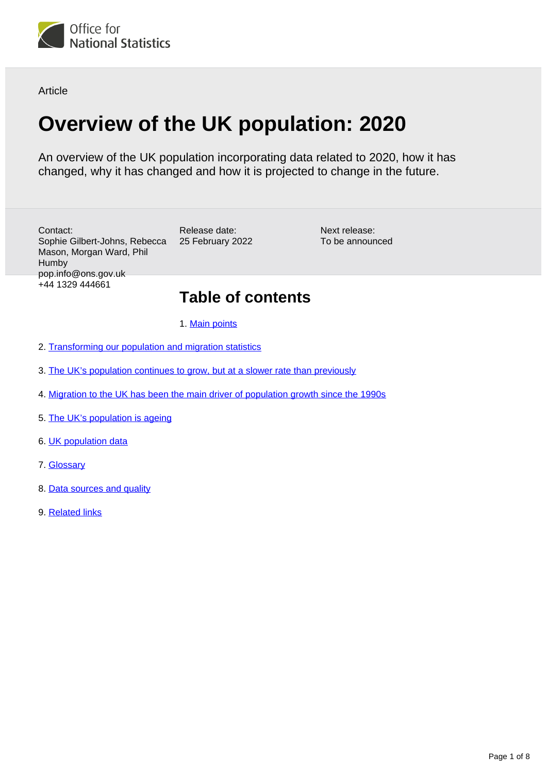

Article

# **Overview of the UK population: 2020**

An overview of the UK population incorporating data related to 2020, how it has changed, why it has changed and how it is projected to change in the future.

Contact: Sophie Gilbert-Johns, Rebecca Mason, Morgan Ward, Phil **Humby** pop.info@ons.gov.uk +44 1329 444661

Release date: 25 February 2022

Next release: To be announced

## **Table of contents**

1. [Main points](#page-1-0)

- 2. [Transforming our population and migration statistics](#page-1-1)
- 3. [The UK's population continues to grow, but at a slower rate than previously](#page-2-0)
- 4. [Migration to the UK has been the main driver of population growth since the 1990s](#page-3-0)
- 5. [The UK's population is ageing](#page-5-0)
- 6. [UK population data](#page-6-0)
- 7. [Glossary](#page-6-1)
- 8. [Data sources and quality](#page-7-0)
- 9. [Related links](#page-7-1)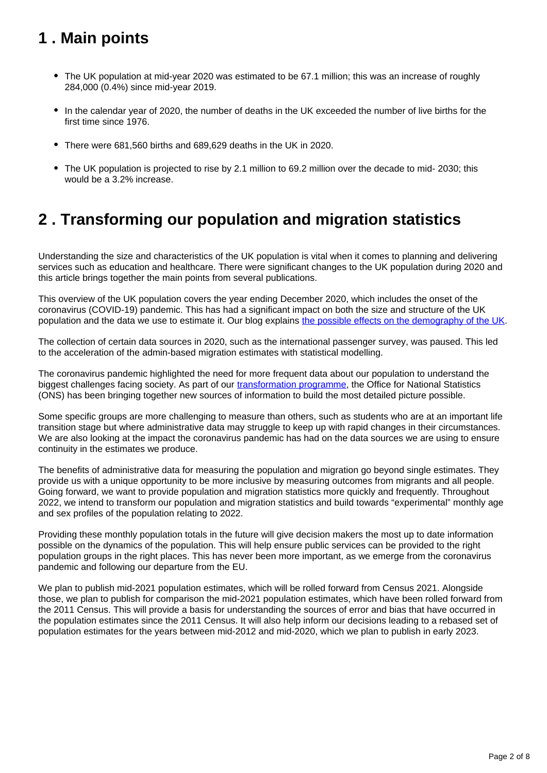## <span id="page-1-0"></span>**1 . Main points**

- The UK population at mid-year 2020 was estimated to be 67.1 million; this was an increase of roughly 284,000 (0.4%) since mid-year 2019.
- In the calendar year of 2020, the number of deaths in the UK exceeded the number of live births for the first time since 1976.
- There were 681,560 births and 689,629 deaths in the UK in 2020.
- The UK population is projected to rise by 2.1 million to 69.2 million over the decade to mid- 2030; this would be a 3.2% increase.

## <span id="page-1-1"></span>**2 . Transforming our population and migration statistics**

Understanding the size and characteristics of the UK population is vital when it comes to planning and delivering services such as education and healthcare. There were significant changes to the UK population during 2020 and this article brings together the main points from several publications.

This overview of the UK population covers the year ending December 2020, which includes the onset of the coronavirus (COVID-19) pandemic. This has had a significant impact on both the size and structure of the UK population and the data we use to estimate it. Our blog explains [the possible effects on the demography of the UK.](https://blog.ons.gov.uk/2020/12/07/what-could-the-impact-of-covid-19-be-on-uk-demography/)

The collection of certain data sources in 2020, such as the international passenger survey, was paused. This led to the acceleration of the admin-based migration estimates with statistical modelling.

The coronavirus pandemic highlighted the need for more frequent data about our population to understand the biggest challenges facing society. As part of our [transformation programme](https://www.ons.gov.uk/peoplepopulationandcommunity/populationandmigration/internationalmigration/articles/transformationofthepopulationandmigrationstatisticssystemoverview/2021-11-15), the Office for National Statistics (ONS) has been bringing together new sources of information to build the most detailed picture possible.

Some specific groups are more challenging to measure than others, such as students who are at an important life transition stage but where administrative data may struggle to keep up with rapid changes in their circumstances. We are also looking at the impact the coronavirus pandemic has had on the data sources we are using to ensure continuity in the estimates we produce.

The benefits of administrative data for measuring the population and migration go beyond single estimates. They provide us with a unique opportunity to be more inclusive by measuring outcomes from migrants and all people. Going forward, we want to provide population and migration statistics more quickly and frequently. Throughout 2022, we intend to transform our population and migration statistics and build towards "experimental" monthly age and sex profiles of the population relating to 2022.

Providing these monthly population totals in the future will give decision makers the most up to date information possible on the dynamics of the population. This will help ensure public services can be provided to the right population groups in the right places. This has never been more important, as we emerge from the coronavirus pandemic and following our departure from the EU.

We plan to publish mid-2021 population estimates, which will be rolled forward from Census 2021. Alongside those, we plan to publish for comparison the mid-2021 population estimates, which have been rolled forward from the 2011 Census. This will provide a basis for understanding the sources of error and bias that have occurred in the population estimates since the 2011 Census. It will also help inform our decisions leading to a rebased set of population estimates for the years between mid-2012 and mid-2020, which we plan to publish in early 2023.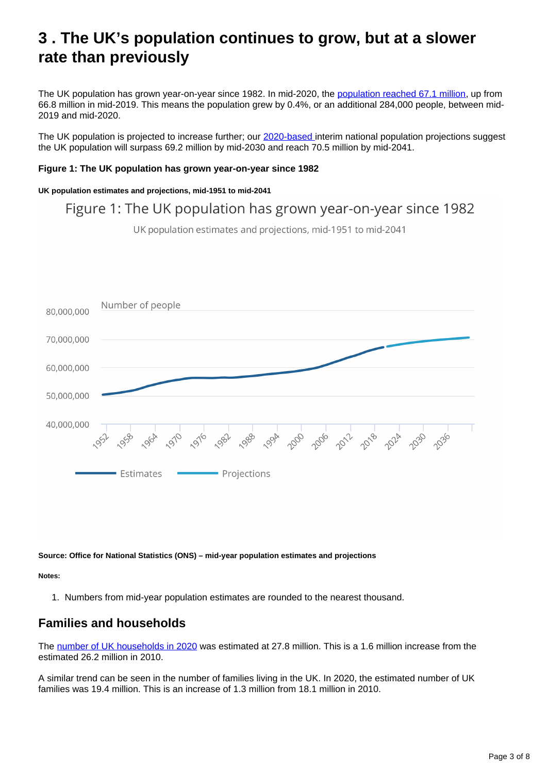## <span id="page-2-0"></span>**3 . The UK's population continues to grow, but at a slower rate than previously**

The UK population has grown year-on-year since 1982. In mid-2020, the [population reached 67.1 million](https://www.ons.gov.uk/peoplepopulationandcommunity/populationandmigration/populationestimates/bulletins/annualmidyearpopulationestimates/mid2020), up from 66.8 million in mid-2019. This means the population grew by 0.4%, or an additional 284,000 people, between mid-2019 and mid-2020.

The UK population is projected to increase further; our [2020-based i](https://www.ons.gov.uk/peoplepopulationandcommunity/populationandmigration/populationprojections/bulletins/nationalpopulationprojections/2020basedinterim)nterim national population projections suggest the UK population will surpass 69.2 million by mid-2030 and reach 70.5 million by mid-2041.

#### **Figure 1: The UK population has grown year-on-year since 1982**

#### **UK population estimates and projections, mid-1951 to mid-2041**

Figure 1: The UK population has grown year-on-year since 1982

UK population estimates and projections, mid-1951 to mid-2041



**Source: Office for National Statistics (ONS) – mid-year population estimates and projections**

**Notes:**

1. Numbers from mid-year population estimates are rounded to the nearest thousand.

### **Families and households**

The [number of UK households in 2020](https://www.ons.gov.uk/peoplepopulationandcommunity/birthsdeathsandmarriages/families/bulletins/familiesandhouseholds/previousReleases) was estimated at 27.8 million. This is a 1.6 million increase from the estimated 26.2 million in 2010.

A similar trend can be seen in the number of families living in the UK. In 2020, the estimated number of UK families was 19.4 million. This is an increase of 1.3 million from 18.1 million in 2010.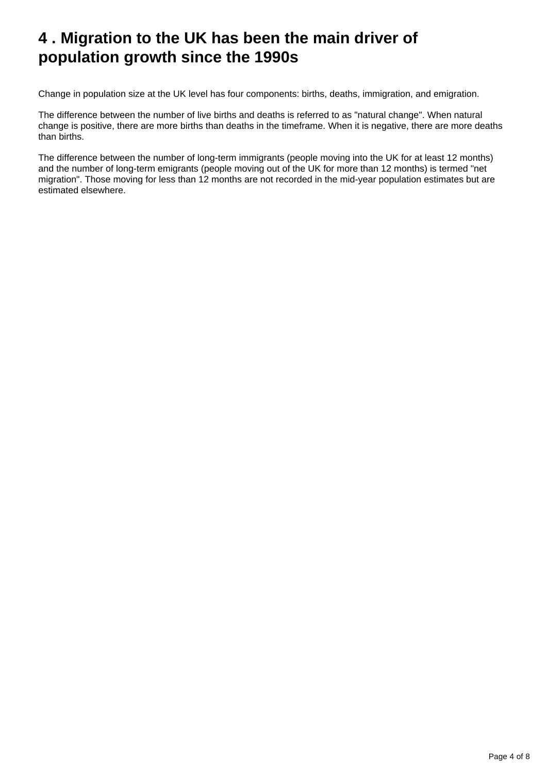## <span id="page-3-0"></span>**4 . Migration to the UK has been the main driver of population growth since the 1990s**

Change in population size at the UK level has four components: births, deaths, immigration, and emigration.

The difference between the number of live births and deaths is referred to as "natural change". When natural change is positive, there are more births than deaths in the timeframe. When it is negative, there are more deaths than births.

The difference between the number of long-term immigrants (people moving into the UK for at least 12 months) and the number of long-term emigrants (people moving out of the UK for more than 12 months) is termed "net migration". Those moving for less than 12 months are not recorded in the mid-year population estimates but are estimated elsewhere.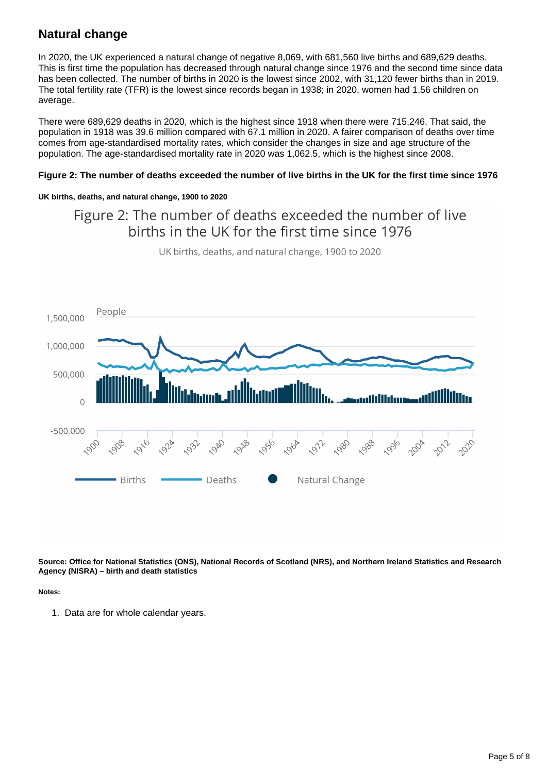## **Natural change**

In 2020, the UK experienced a natural change of negative 8,069, with 681,560 live births and 689,629 deaths. This is first time the population has decreased through natural change since 1976 and the second time since data has been collected. The number of births in 2020 is the lowest since 2002, with 31,120 fewer births than in 2019. The total fertility rate (TFR) is the lowest since records began in 1938; in 2020, women had 1.56 children on average.

There were 689,629 deaths in 2020, which is the highest since 1918 when there were 715,246. That said, the population in 1918 was 39.6 million compared with 67.1 million in 2020. A fairer comparison of deaths over time comes from age-standardised mortality rates, which consider the changes in size and age structure of the population. The age-standardised mortality rate in 2020 was 1,062.5, which is the highest since 2008.

#### **Figure 2: The number of deaths exceeded the number of live births in the UK for the first time since 1976**

#### **UK births, deaths, and natural change, 1900 to 2020**

## Figure 2: The number of deaths exceeded the number of live births in the UK for the first time since 1976



UK births, deaths, and natural change, 1900 to 2020

**Source: Office for National Statistics (ONS), National Records of Scotland (NRS), and Northern Ireland Statistics and Research Agency (NISRA) – birth and death statistics**

#### **Notes:**

1. Data are for whole calendar years.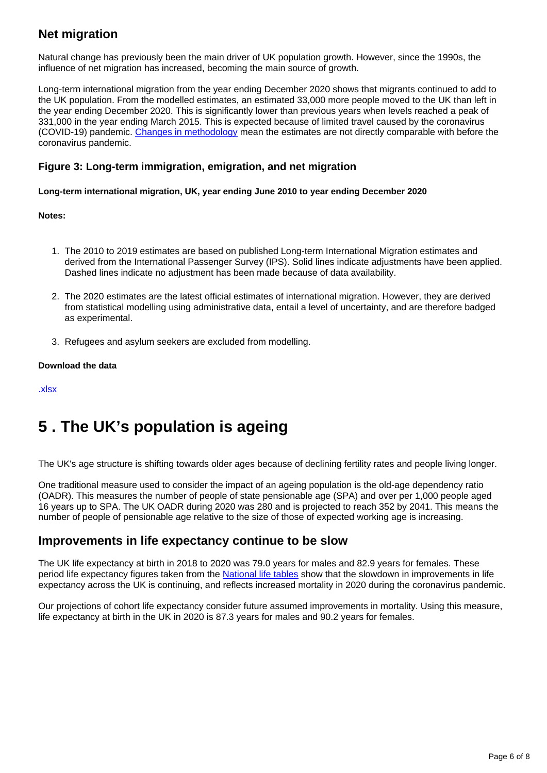## **Net migration**

Natural change has previously been the main driver of UK population growth. However, since the 1990s, the influence of net migration has increased, becoming the main source of growth.

Long-term international migration from the year ending December 2020 shows that migrants continued to add to the UK population. From the modelled estimates, an estimated 33,000 more people moved to the UK than left in the year ending December 2020. This is significantly lower than previous years when levels reached a peak of 331,000 in the year ending March 2015. This is expected because of limited travel caused by the coronavirus (COVID-19) pandemic. [Changes in methodology](https://www.ons.gov.uk/methodology/methodologicalpublications/generalmethodology/onsworkingpaperseries/usingstatisticalmodellingtoestimateukinternationalmigration) mean the estimates are not directly comparable with before the coronavirus pandemic.

### **Figure 3: Long-term immigration, emigration, and net migration**

**Long-term international migration, UK, year ending June 2010 to year ending December 2020**

**Notes:**

- 1. The 2010 to 2019 estimates are based on published Long-term International Migration estimates and derived from the International Passenger Survey (IPS). Solid lines indicate adjustments have been applied. Dashed lines indicate no adjustment has been made because of data availability.
- 2. The 2020 estimates are the latest official estimates of international migration. However, they are derived from statistical modelling using administrative data, entail a level of uncertainty, and are therefore badged as experimental.
- 3. Refugees and asylum seekers are excluded from modelling.

#### **Download the data**

[.xlsx](https://www.ons.gov.uk/visualisations/dvc1793/fig05/datadownload.xlsx)

## <span id="page-5-0"></span>**5 . The UK's population is ageing**

The UK's age structure is shifting towards older ages because of declining fertility rates and people living longer.

One traditional measure used to consider the impact of an ageing population is the old-age dependency ratio (OADR). This measures the number of people of state pensionable age (SPA) and over per 1,000 people aged 16 years up to SPA. The UK OADR during 2020 was 280 and is projected to reach 352 by 2041. This means the number of people of pensionable age relative to the size of those of expected working age is increasing.

### **Improvements in life expectancy continue to be slow**

The UK life expectancy at birth in 2018 to 2020 was 79.0 years for males and 82.9 years for females. These period life expectancy figures taken from the [National life tables](https://www.ons.gov.uk/peoplepopulationandcommunity/birthsdeathsandmarriages/lifeexpectancies/bulletins/nationallifetablesunitedkingdom/2018to2020) show that the slowdown in improvements in life expectancy across the UK is continuing, and reflects increased mortality in 2020 during the coronavirus pandemic.

Our projections of cohort life expectancy consider future assumed improvements in mortality. Using this measure, life expectancy at birth in the UK in 2020 is 87.3 years for males and 90.2 years for females.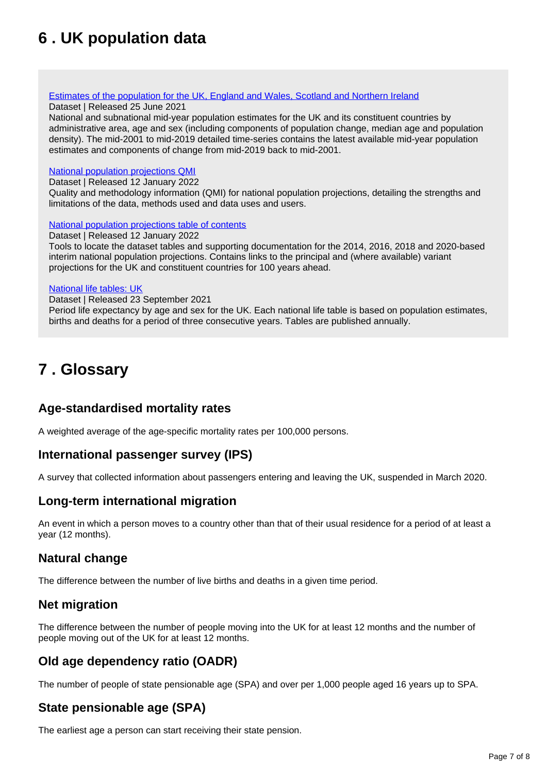## <span id="page-6-0"></span>**6 . UK population data**

#### [Estimates of the population for the UK, England and Wales, Scotland and Northern Ireland](https://www.ons.gov.uk/peoplepopulationandcommunity/populationandmigration/populationestimates/datasets/populationestimatesforukenglandandwalesscotlandandnorthernireland)

#### Dataset | Released 25 June 2021

National and subnational mid-year population estimates for the UK and its constituent countries by administrative area, age and sex (including components of population change, median age and population density). The mid-2001 to mid-2019 detailed time-series contains the latest available mid-year population estimates and components of change from mid-2019 back to mid-2001.

#### [National population projections QMI](https://www.ons.gov.uk/peoplepopulationandcommunity/populationandmigration/populationprojections/methodologies/nationalpopulationprojectionsqmi)

Dataset | Released 12 January 2022

Quality and methodology information (QMI) for national population projections, detailing the strengths and limitations of the data, methods used and data uses and users.

#### [National population projections table of contents](https://www.ons.gov.uk/peoplepopulationandcommunity/populationandmigration/populationprojections/datasets/2014basednationalpopulationprojectionstableofcontents)

Dataset | Released 12 January 2022

Tools to locate the dataset tables and supporting documentation for the 2014, 2016, 2018 and 2020-based interim national population projections. Contains links to the principal and (where available) variant projections for the UK and constituent countries for 100 years ahead.

#### [National life tables: UK](https://www.ons.gov.uk/peoplepopulationandcommunity/birthsdeathsandmarriages/lifeexpectancies/datasets/nationallifetablesunitedkingdomreferencetables)

Dataset | Released 23 September 2021

Period life expectancy by age and sex for the UK. Each national life table is based on population estimates, births and deaths for a period of three consecutive years. Tables are published annually.

## <span id="page-6-1"></span>**7 . Glossary**

### **Age-standardised mortality rates**

A weighted average of the age-specific mortality rates per 100,000 persons.

### **International passenger survey (IPS)**

A survey that collected information about passengers entering and leaving the UK, suspended in March 2020.

### **Long-term international migration**

An event in which a person moves to a country other than that of their usual residence for a period of at least a year (12 months).

### **Natural change**

The difference between the number of live births and deaths in a given time period.

### **Net migration**

The difference between the number of people moving into the UK for at least 12 months and the number of people moving out of the UK for at least 12 months.

### **Old age dependency ratio (OADR)**

The number of people of state pensionable age (SPA) and over per 1,000 people aged 16 years up to SPA.

### **State pensionable age (SPA)**

The earliest age a person can start receiving their state pension.